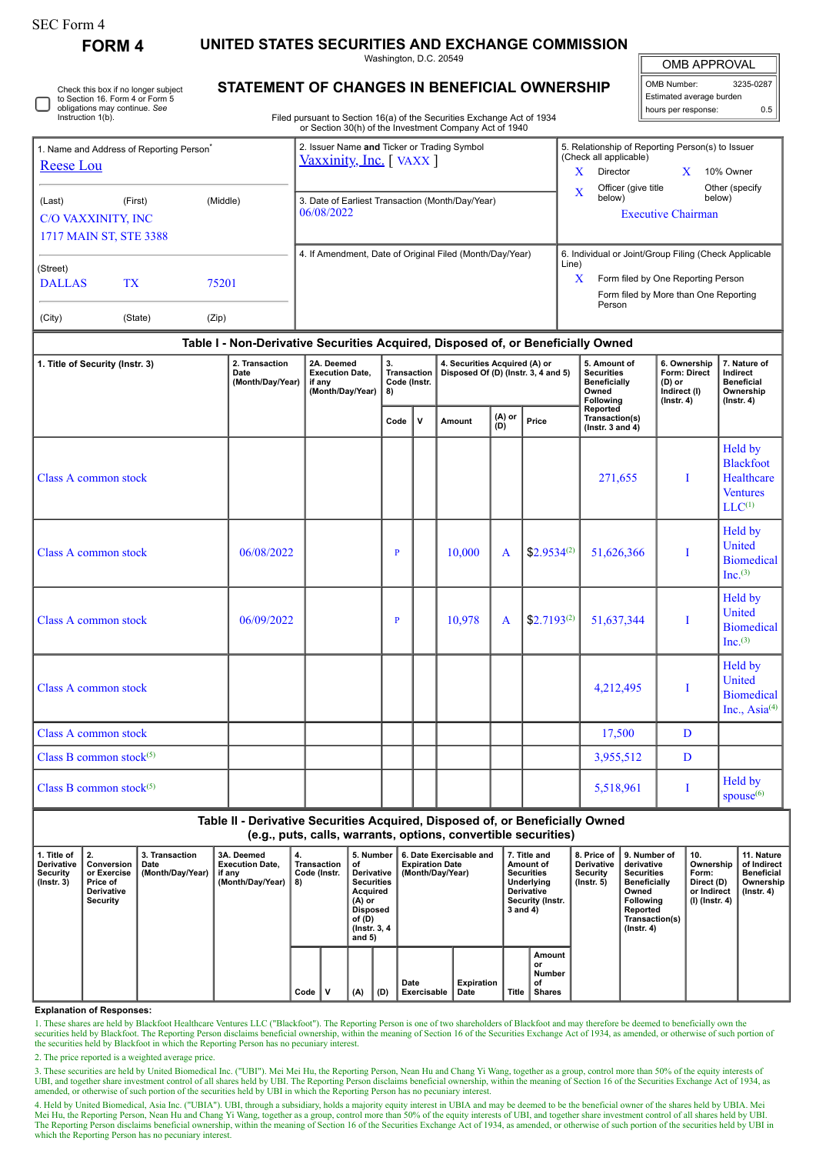| SEC Form 4 |
|------------|
|------------|

**FORM 4 UNITED STATES SECURITIES AND EXCHANGE COMMISSION**

Washington, D.C. 20549

OMB APPROVAL

| OMB Number:              | 3235-0287 |  |  |  |  |  |  |  |  |
|--------------------------|-----------|--|--|--|--|--|--|--|--|
| Estimated average burden |           |  |  |  |  |  |  |  |  |
| hours per response:      | 0.5       |  |  |  |  |  |  |  |  |

## **STATEMENT OF CHANGES IN BENEFICIAL OWNERSHIP**

Filed pursuant to Section 16(a) of the Securities Exchange Act of 1934 or Section 30(h) of the Investment Company Act of 1940

| 1. Name and Address of Reporting Person <sup>®</sup><br>Reese Lou |           |       | 2. Issuer Name and Ticker or Trading Symbol<br>Vaxxinity, Inc. [VAXX] | 5. Relationship of Reporting Person(s) to Issuer<br>(Check all applicable)    |  |  |  |  |  |
|-------------------------------------------------------------------|-----------|-------|-----------------------------------------------------------------------|-------------------------------------------------------------------------------|--|--|--|--|--|
|                                                                   |           |       |                                                                       | x<br>Director<br>10% Owner                                                    |  |  |  |  |  |
| (Middle)<br>(Last)<br>(First)                                     |           |       | 3. Date of Earliest Transaction (Month/Day/Year)                      | Officer (give title<br>Other (specify<br>$\mathbf v$<br>л<br>below)<br>below) |  |  |  |  |  |
| <b>C/O VAXXINITY, INC</b>                                         |           |       | 06/08/2022                                                            | <b>Executive Chairman</b>                                                     |  |  |  |  |  |
| 1717 MAIN ST, STE 3388                                            |           |       |                                                                       |                                                                               |  |  |  |  |  |
| (Street)                                                          |           |       | 4. If Amendment, Date of Original Filed (Month/Day/Year)              | 6. Individual or Joint/Group Filing (Check Applicable<br>Line)                |  |  |  |  |  |
| <b>DALLAS</b>                                                     | <b>TX</b> | 75201 |                                                                       | x<br>Form filed by One Reporting Person                                       |  |  |  |  |  |
| (City)                                                            | (State)   | (Zip) |                                                                       | Form filed by More than One Reporting<br>Person                               |  |  |  |  |  |

## **Table I - Non-Derivative Securities Acquired, Disposed of, or Beneficially Owned**

| 1. Title of Security (Instr. 3) | 2. Transaction<br>Date<br>(Month/Day/Year) | 2A. Deemed<br><b>Execution Date,</b><br>if any<br>(Month/Day/Year) | 3.<br>Transaction<br>Code (Instr.<br>8) |              | 4. Securities Acquired (A) or |                   | Disposed Of $(D)$ (Instr. 3, 4 and 5) | 5. Amount of<br><b>Securities</b><br><b>Beneficially</b><br>Owned<br><b>Following</b> | 6. Ownership<br>Form: Direct<br>(D) or<br>Indirect (I)<br>$($ Instr. 4 $)$ | 7. Nature of<br>Indirect<br><b>Beneficial</b><br>Ownership<br>$($ Instr. 4 $)$ |
|---------------------------------|--------------------------------------------|--------------------------------------------------------------------|-----------------------------------------|--------------|-------------------------------|-------------------|---------------------------------------|---------------------------------------------------------------------------------------|----------------------------------------------------------------------------|--------------------------------------------------------------------------------|
|                                 |                                            |                                                                    | Code                                    | $\mathsf{v}$ | Amount                        | $(A)$ or<br>$(D)$ | Price                                 | Reported<br>Transaction(s)<br>( $lnstr. 3 and 4$ )                                    |                                                                            |                                                                                |
| Class A common stock            |                                            |                                                                    |                                         |              |                               |                   |                                       | 271,655                                                                               | I                                                                          | Held by<br><b>Blackfoot</b><br>Healthcare<br><b>Ventures</b><br>$LLC^{(1)}$    |
| Class A common stock            | 06/08/2022                                 |                                                                    | P                                       |              | 10,000                        | $\mathbf{A}$      | $$2.9534^{(2)}$                       | 51,626,366                                                                            | $\mathbf{I}$                                                               | Held by<br>United<br><b>Biomedical</b><br>Inc. <sup>(3)</sup>                  |
| Class A common stock            | 06/09/2022                                 |                                                                    | P                                       |              | 10,978                        | $\overline{A}$    | $$2.7193^{(2)}$                       | 51,637,344                                                                            | I                                                                          | Held by<br>United<br><b>Biomedical</b><br>Inc. <sup>(3)</sup>                  |
| Class A common stock            |                                            |                                                                    |                                         |              |                               |                   |                                       | 4,212,495                                                                             | I                                                                          | Held by<br>United<br><b>Biomedical</b><br>Inc., Asia <sup>(4)</sup>            |
| Class A common stock            |                                            |                                                                    |                                         |              |                               |                   |                                       | 17,500                                                                                | D                                                                          |                                                                                |
| Class B common stock $(5)$      |                                            |                                                                    |                                         |              |                               |                   |                                       | 3,955,512                                                                             | D                                                                          |                                                                                |
| Class B common stock $(5)$      |                                            |                                                                    |                                         |              |                               |                   |                                       | 5,518,961                                                                             | T                                                                          | Held by<br>spouse <sup>(6)</sup>                                               |

**Table II - Derivative Securities Acquired, Disposed of, or Beneficially Owned (e.g., puts, calls, warrants, options, convertible securities)**

| 1. Title of<br>Derivative<br>Security<br>$($ lnstr. 3 $)$ | I 2.<br>Conversion<br>or Exercise<br>Price of<br>Derivative<br>Security | 3. Transaction<br>Date<br>(Month/Day/Year) | 3A. Deemed<br><b>Execution Date.</b><br>if any<br>(Month/Day/Year) | 4.<br>Transaction<br>Code (Instr.<br>8) | 5. Number<br>οf<br>Derivative  <br><b>Securities</b><br>Acquired<br>(A) or<br><b>Disposed</b><br>of (D)<br>(Instr. 3, 4)<br>and $5)$ |     | 6. Date Exercisable and<br><b>Expiration Date</b><br>(Month/Day/Year) | 7. Title and<br>Amount of<br><b>Securities</b><br>Underlying<br>Derivative<br>Security (Instr.<br>3 and 4) |  | 8. Price of<br><b>Derivative</b><br>Security<br>$($ lnstr. 5 $)$ | 9. Number of<br>derivative<br><b>Securities</b><br><b>Beneficially</b><br>Owned<br><b>Following</b><br>Reported<br>Transaction(s)<br>$($ Instr. 4 $)$ | 10.<br>Ownership<br>Form:<br>Direct (D)<br>or Indirect<br>(I) (Instr. 4) | 11. Nature<br>of Indirect<br><b>Beneficial</b><br>Ownership<br>$($ lnstr. 4 $)$ |  |
|-----------------------------------------------------------|-------------------------------------------------------------------------|--------------------------------------------|--------------------------------------------------------------------|-----------------------------------------|--------------------------------------------------------------------------------------------------------------------------------------|-----|-----------------------------------------------------------------------|------------------------------------------------------------------------------------------------------------|--|------------------------------------------------------------------|-------------------------------------------------------------------------------------------------------------------------------------------------------|--------------------------------------------------------------------------|---------------------------------------------------------------------------------|--|
|                                                           |                                                                         |                                            |                                                                    | Code                                    | (A)                                                                                                                                  | (D) | Date<br>Exercisable                                                   | Expiration<br>Date                                                                                         |  | Amount<br>or<br>Number<br>οf<br>Title   Shares                   |                                                                                                                                                       |                                                                          |                                                                                 |  |

## **Explanation of Responses:**

1. These shares are held by Blackfoot Healthcare Ventures LLC ("Blackfoot"). The Reporting Person is one of two shareholders of Blackfoot and may therefore be deemed to beneficially own the securities held by Blackfoot. The Reporting Person disclaims beneficial ownership, within the meaning of Section 16 of the Securities Exchange Act of 1934, as amended, or otherwise of such portion of the securities held by Blackfoot in which the Reporting Person has no pecuniary interest.

2. The price reported is a weighted average price.

3. These securities are held by United Biomedical Inc. ("UBI"). Mei Mei Hu, the Reporting Person, Nean Hu and Chang Yi Wang, together as a group, control more than 50% of the equity interests of<br>UBI, and together share inv amended, or otherwise of such portion of the securities held by UBI in which the Reporting Person has no pecuniary interest.

4. Held by United Biomedical, Asia Inc. ("UBIA"). UBI, through a subsidiary, holds a majority equity interest in UBIA and may be deemed to be the beneficial owner of the shares held by UBIA. Mei Mei Hu, the Reporting Person, Nean Hu and Chang Yi Wang, together as a group, control more than 50% of the equity interests of UBI, and together share investment control of all shares held by UBI. The Reporting Person disclaims beneficial ownership, within the meaning of Section 16 of the Securities Exchange Act of 1934, as amended, or otherwise of such portion of the securities held by UBI in which the Reporting Person has no pecuniary interest.